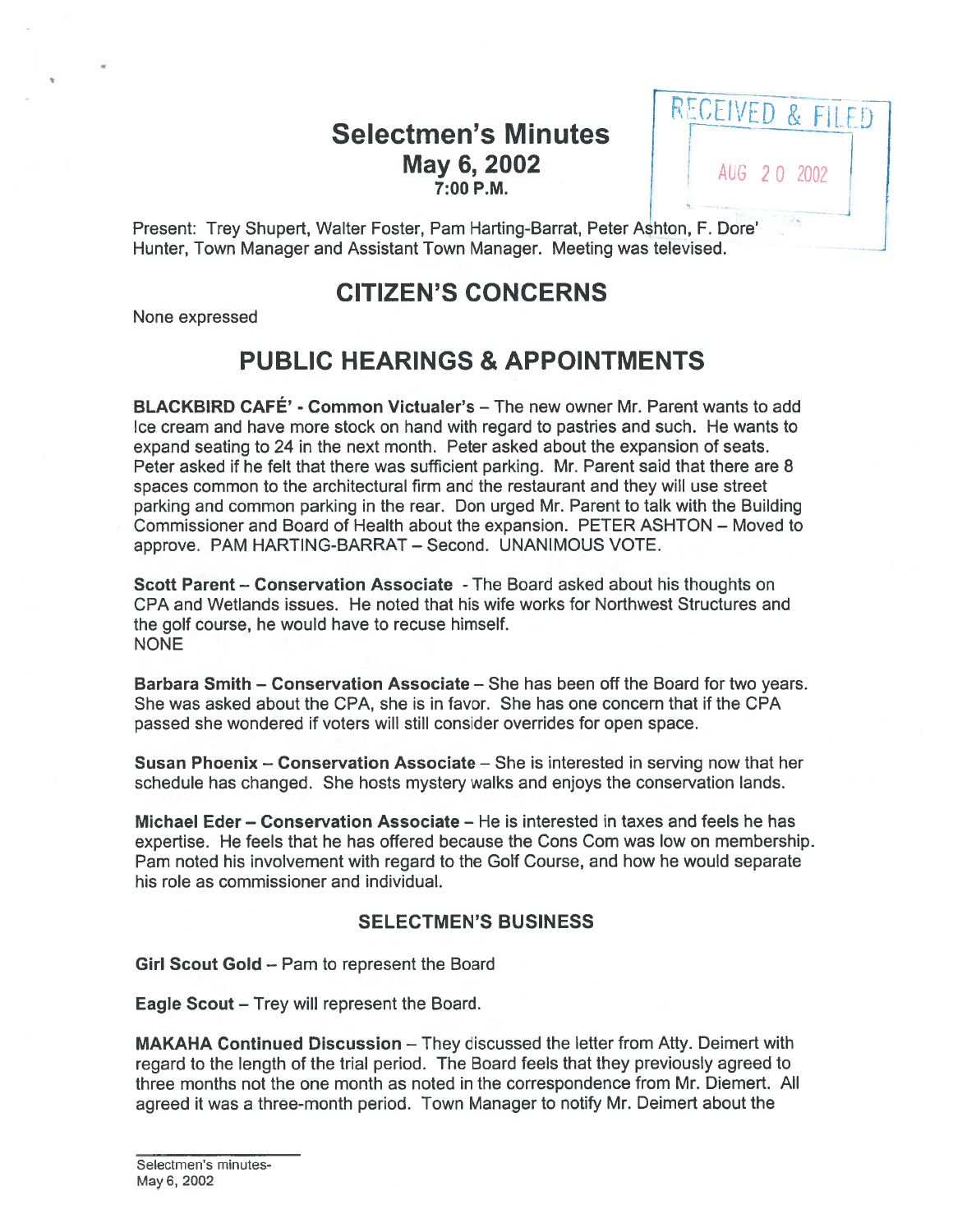## Selectmen's Minutes **May 6, 2002**  $\begin{array}{|c|c|c|c|c|} \hline \textbf{May 6, 2002} & \textbf{1} & \textbf{AUG 20 2002} \hline \end{array}$ 7:00 P.M.



Present: Trey Shupert, Walter Foster, Pam Harting-Barrat, Peter Ashton, F. Dore' Hunter, Town Manager and Assistant Town Manager. Meeting was televised.

# CITIZEN'S CONCERNS

None expressed

# PUBLIC HEARINGS & APPOINTMENTS

BLACKBIRD CAFÉ' - Common Victualer's — The new owner Mr. Parent wants to add Ice cream and have more stock on hand with regard to pastries and such. He wants to expand seating to 24 in the next month. Peter asked about the expansion of seats. Peter asked if he felt that there was sufficient parking. Mr. Parent said that there are 8 spaces common to the architectural firm and the restaurant and they will use street parking and common parking in the rear. Don urged Mr. Parent to talk with the Building Commissioner and Board of Health about the expansion. PETER ASHTON — Moved to approve. PAM HARTING-BARRAT — Second. UNANIMOUS VOTE.

Scott Parent – Conservation Associate - The Board asked about his thoughts on CPA and Wetlands issues. He noted that his wife works for Northwest Structures and the golf course, he would have to recuse himself. NONE

Barbara Smith — Conservation Associate — She has been off the Board for two years. She was asked about the CPA, she is in favor. She has one concern that if the CPA passed she wondered if voters will still consider overrides for open space.

Susan Phoenix — Conservation Associate — She is interested in serving now that her schedule has changed. She hosts mystery walks and enjoys the conservation lands.

Michael Eder — Conservation Associate — He is interested in taxes and feels he has expertise. He feels that he has offered because the Cons Com was low on membership. Pam noted his involvement with regard to the Golf Course, and how he would separate his role as commissioner and individual.

#### SELECTMEN'S BUSINESS

Girl Scout Gold — Pam to represen<sup>t</sup> the Board

Eagle Scout — Trey will represen<sup>t</sup> the Board.

MAKAHA Continued Discussion — They discussed the letter from Atty. Deimert with regard to the length of the trial period. The Board feels that they previously agreed to three months not the one month as noted in the correspondence from Mr. Diemert. All agreed it was <sup>a</sup> three-month period. Town Manager to notify Mr. Deimert about the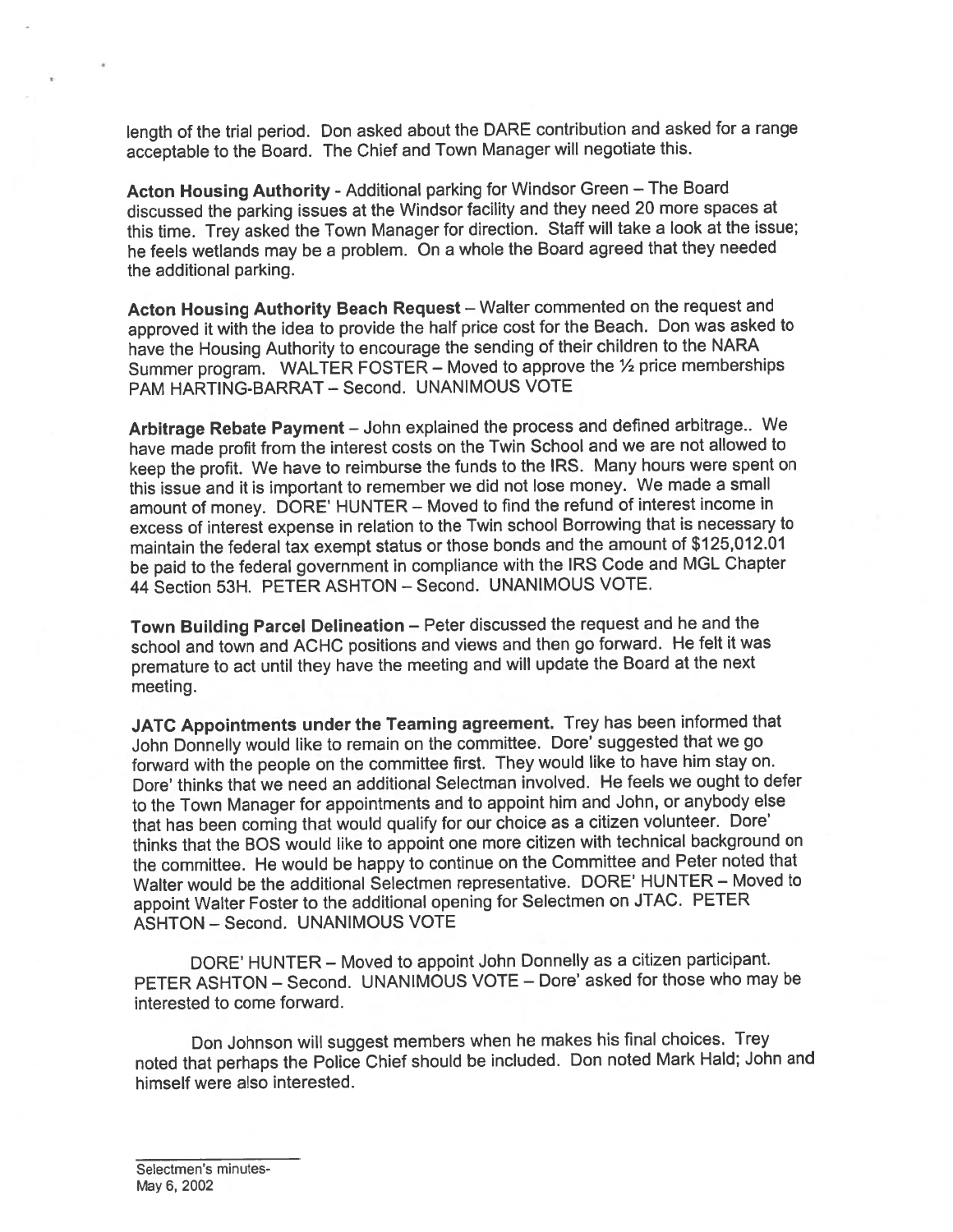length of the trial period. Don asked about the DARE contribution and asked for <sup>a</sup> range acceptable to the Board. The Chief and Town Manager will negotiate this.

Acton Housing Authority - Additional parking for Windsor Green - The Board discussed the parking issues at the Windsor facility and they need <sup>20</sup> more spaces at this time. Trey asked the Town Manager for direction. Staff will take <sup>a</sup> look at the issue; he feels wetlands may be <sup>a</sup> problem. On <sup>a</sup> whole the Board agree<sup>d</sup> that they needed the additional parking.

Acton Housing Authority Beach Request — Walter commented on the reques<sup>t</sup> and approve<sup>d</sup> it with the idea to provide the half price cost for the Beach. Don was asked to have the Housing Authority to encourage the sending of their children to the NARA Summer program. WALTER FOSTER – Moved to approve the  $\frac{1}{2}$  price memberships PAM HARTING-BARRAT - Second. UNANIMOUS VOTE

Arbitrage Rebate Payment — John explained the process and defined arbitrage.. We have made profit from the interest costs on the Twin School and we are not allowed to keep the profit. We have to reimburse the funds to the IRS. Many hours were spen<sup>t</sup> on this issue and it is important to remember we did not lose money. We made <sup>a</sup> small amount of money. DORE' HUNTER — Moved to find the refund of interest income in excess of interest expense in relation to the Twin school Borrowing that is necessary to maintain the federal tax exemp<sup>t</sup> status or those bonds and the amount of \$125,012.01 be paid to the federal governmen<sup>t</sup> in compliance with the IRS Code and MGL Chapter 44 Section 53H. PETER ASHTON — Second. UNANIMOUS VOTE.

Town Building Parcel Delineation — Peter discussed the reques<sup>t</sup> and he and the school and town and ACHC positions and views and then go forward. He felt it was premature to act until they have the meeting and will update the Board at the next meeting.

JATC Appointments under the Teaming agreement. Trey has been informed that John Donnelly would like to remain on the committee. Dote' suggested that we go forward with the people on the committee first. They would like to have him stay on. Dote' thinks that we need an additional Selectman involved. He feels we ought to defer to the Town Manager for appointments and to appoint him and John, or anybody else that has been coming that would qualify for our choice as a citizen volunteer. Dore' thinks that the BOS would like to appoint one more citizen with technical background on the committee. He would be happy to continue on the Committee and Peter noted that Walter would be the additional Selectmen representative. DORE' HUNTER — Moved to appoint Walter Foster to the additional opening for Selectmen on JTAC. PETER ASHTON — Second. UNANIMOUS VOTE

DORE' HUNTER — Moved to appoint John Donnelly as <sup>a</sup> citizen participant. PETER ASHTON — Second. UNANIMOUS VOTE — Dote' asked for those who may be interested to come forward.

Don Johnson will sugges<sup>t</sup> members when he makes his final choices. Trey noted that perhaps the Police Chief should be included. Don noted Mark Hald; John and himself were also interested.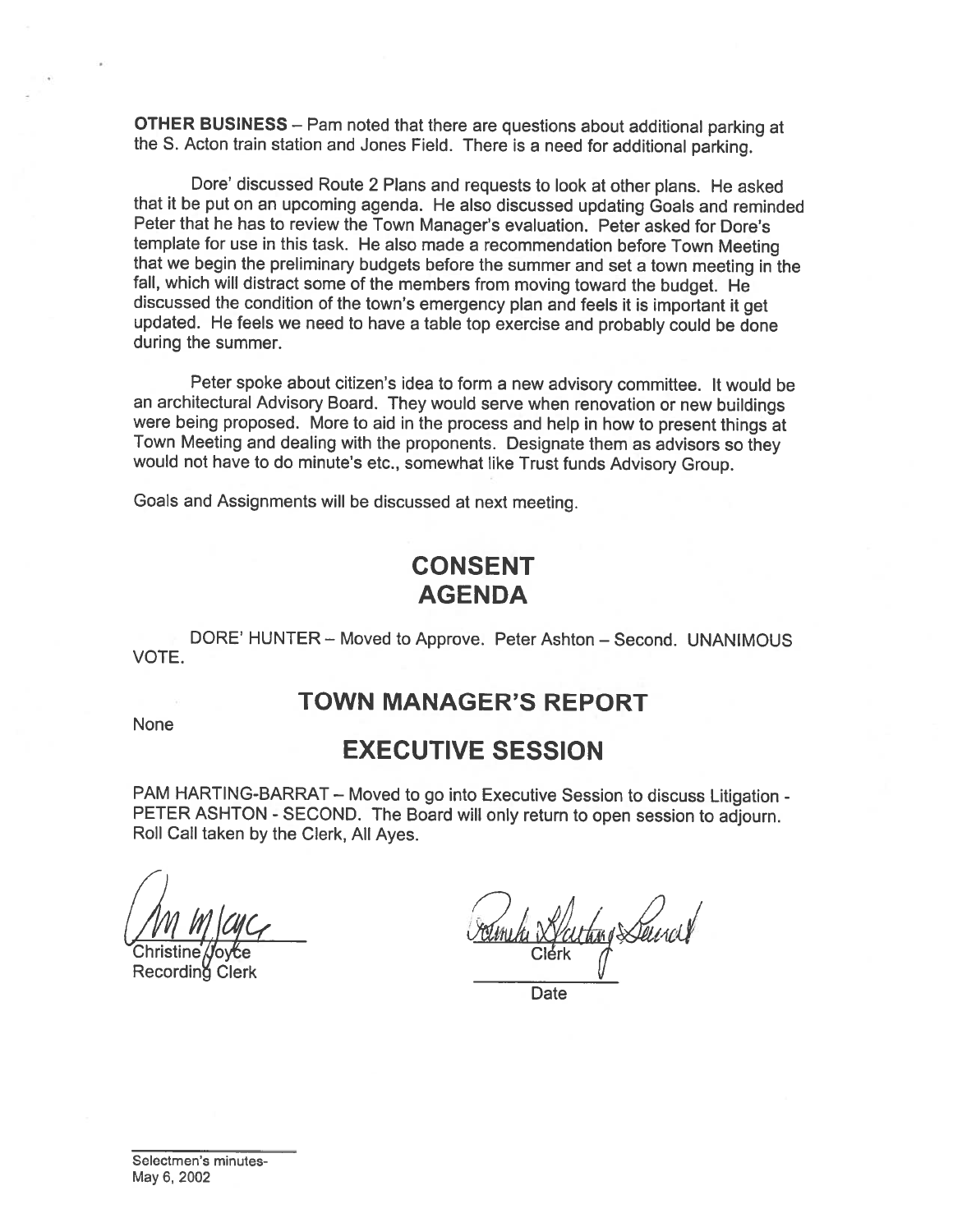OTHER BUSINESS — Pam noted that there are questions about additional parking at the S. Acton train station and Jones Field. There is <sup>a</sup> need for additional parking.

Dore' discussed Route <sup>2</sup> Plans and requests to look at other <sup>p</sup>lans. He asked that it be put on an upcoming agenda. He also discussed updating Goals and reminded Peter that he has to review the Town Manager's evaluation. Peter asked for Dore's template for use in this task. He also made a recommendation before Town Meeting that we begin the preliminary budgets before the summer and set a town meeting in the fall, which will distract some of the members from moving toward the budget. He discussed the condition of the town's emergency <sup>p</sup>lan and feels it is important it get updated. He feels we need to have <sup>a</sup> table top exercise and probably could be done during the summer.

Peter spoke about citizen's idea to form <sup>a</sup> new advisory committee. It would be an architectural Advisory Board. They would serve when renovation or new buildings were being proposed. More to aid in the process and help in how to present things at Town Meeting and dealing with the proponents. Designate them as advisors so they would not have to do minute's etc., somewhat like Trust funds Advisory Group.

Goals and Assignments will be discussed at next meeting.

# CONSENT AGENDA

DORE' HUNTER — Moved to Approve. Peter Ashton — Second. UNANIMOUS VOTE.

## TOWN MANAGER'S REPORT

None

## EXECUTIVE SESSION

PAM HARTING-BARRAT — Moved to go into Executive Session to discuss Litigation - PETER ASHTON - SECOND. The Board will only return to open session to adjourn. Roll Call taken by the Clerk, All Ayes.

m/cuc

Recording Clerk

thing Seince Christine *.J*oyce **Character Communist Character Clerk** 

**Date**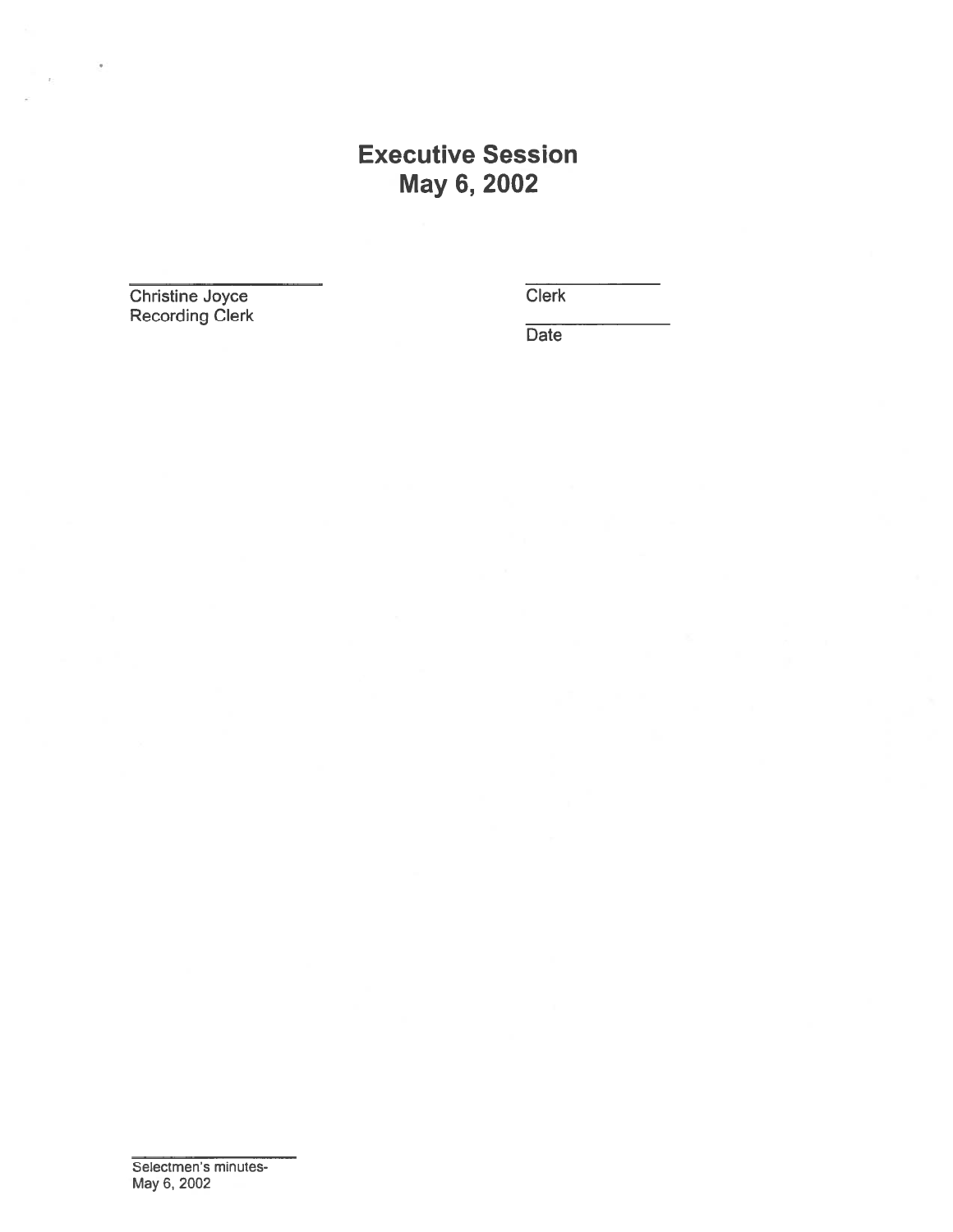Executive Session May 6, 2002 Executive Session<br>
May 6, 2002<br>
Christine Joyce<br>
Recording Clerk

Christine Joyce<br>Recording Clerk<br>The Clerk

 $\bullet$ 

**Date**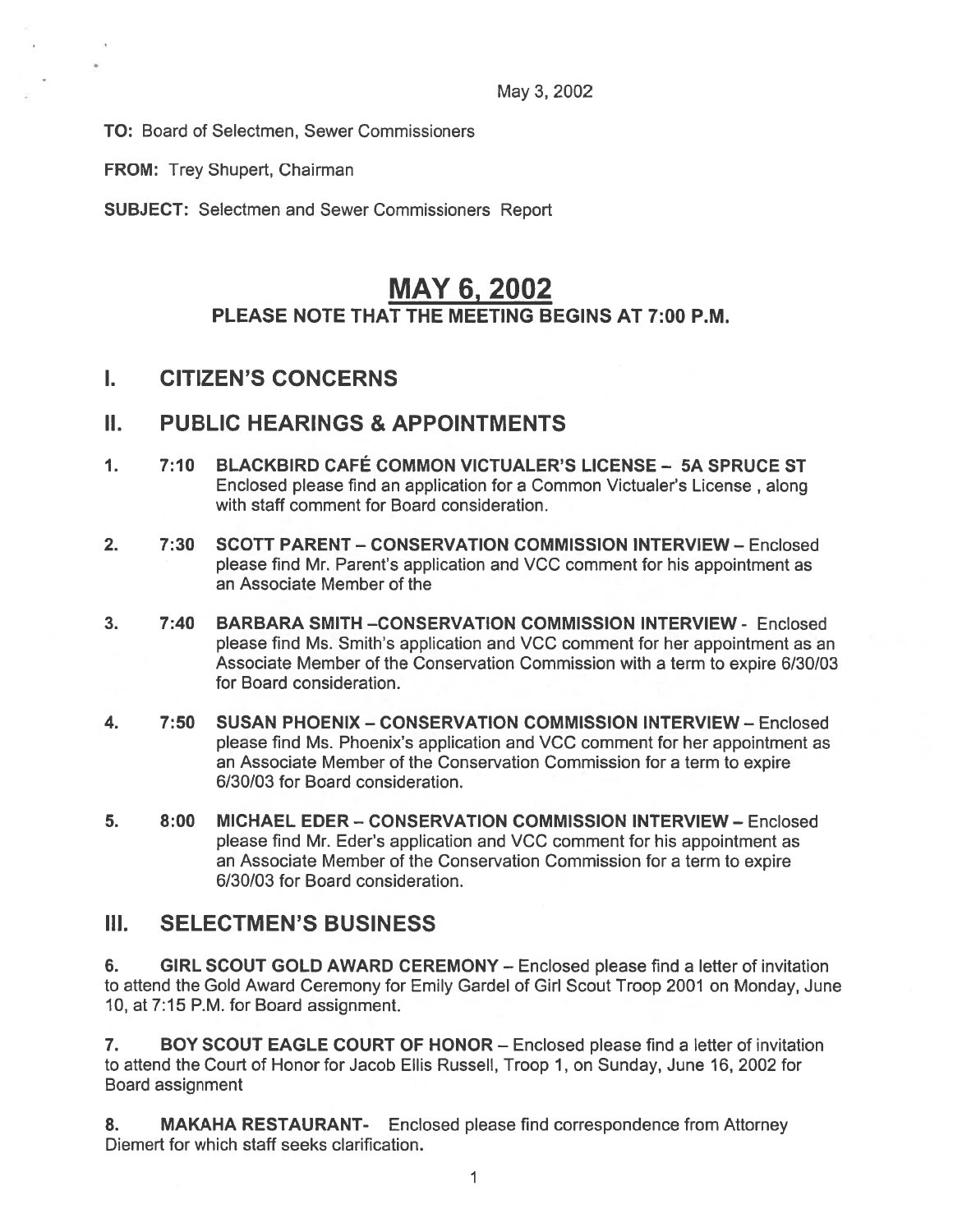TO: Board of Selectmen, Sewer Commissioners

FROM: Trey Shupert, Chairman

SUBJECT: Selectmen and Sewer Commissioners Report

# MAY 6, 2002 PLEASE NOTE THAT THE MEETING BEGINS AT 7:00 P.M.

## I. CITIZEN'S CONCERNS

### II. PUBLIC HEARINGS & APPOINTMENTS

- 1. 7:10 BLACKBIRD CAFÉ COMMON VICTUALER'S LICENSE 5A SPRUCE ST Enclosed please find an application for <sup>a</sup> Common Victualer's License , along with staff comment for Board consideration.
- 2. 7:30 SCOTT PARENT CONSERVATION COMMISSION INTERVIEW Enclosed please find Mr. Parent's application and VCC comment for his appointment as an Associate Member of the
- 3. 7:40 BARBARA SMITH —CONSERVATION COMMISSION INTERVIEW Enclosed please find Ms. Smith's application and VCC comment for her appointment as an Associate Member of the Conservation Commission with <sup>a</sup> term to expire 6/30/03 for Board consideration.
- 4. 7:50 SUSAN PHOENIX CONSERVATION COMMISSION INTERVIEW Enclosed please find Ms. Phoenix's application and VCC comment for her appointment as an Associate Member of the Conservation Commission for <sup>a</sup> term to expire 6/30/03 for Board consideration.
- 5. 8:00 MICHAEL EDER CONSERVATION COMMISSION INTERVIEW Enclosed please find Mr. Eder's application and VCC comment for his appointment as an Associate Member of the Conservation Commission for <sup>a</sup> term to expire 6/30/03 for Board consideration.

### III. SELECTMEN'S BUSINESS

6. GIRL SCOUT GOLD AWARD CEREMONY — Enclosed please find <sup>a</sup> letter of invitation to attend the Gold Award Ceremony for Emily Gardel of Girl Scout Troop 2001 on Monday, June 10, at 7:15 P.M. for Board assignment.

7. BOY SCOUT EAGLE COURT OF HONOR – Enclosed please find a letter of invitation to attend the Court of Honor for Jacob Ellis Russell, Troop 1, on Sunday, June 16, 2002 for Board assignment

8. MAKAHA RESTAURANT- Enclosed please find correspondence from Attorney Diemert for which staff seeks clarification.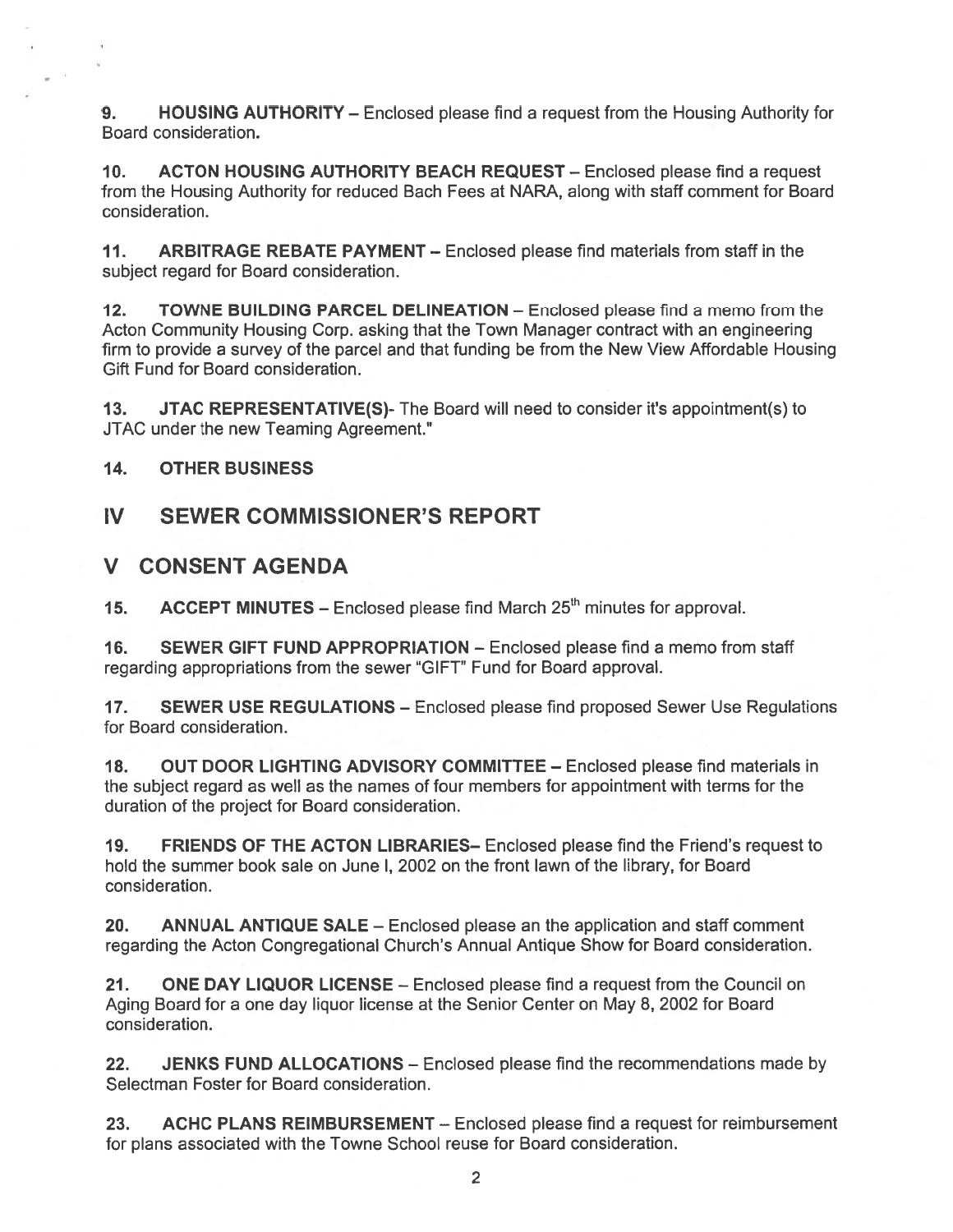9. HOUSING AUTHORITY — Enclosed please find <sup>a</sup> reques<sup>t</sup> from the Housing Authority for Board consideration.

10. ACTON HOUSING AUTHORITY BEACH REQUEST - Enclosed please find a request from the Housing Authority for reduced Bach Fees at NARA, along with staff comment for Board consideration.

11. ARBITRAGE REBATE PAYMENT — Enclosed please find materials from staff in the subject regard for Board consideration.

12. TOWNE BUILDING PARCEL DELINEATION — Enclosed please find <sup>a</sup> memo from the Acton Community Housing Corp. asking that the Town Manager contract with an engineering firm to provide <sup>a</sup> survey of the parcel and that funding be from the New View Affordable Housing Gift Fund for Board consideration.

13. JTAC REPRESENTATIVE(S)- The Board will need to consider it's appointment(s) to JTAC under the new Teaming Agreement."

14. OTHER BUSINESS

IV SEWER COMMISSIONER'S REPORT

### V CONSENT AGENDA

15. ACCEPT MINUTES – Enclosed please find March  $25<sup>th</sup>$  minutes for approval.

16. SEWER GIFT FUND APPROPRIATION - Enclosed please find a memo from staff regarding appropriations from the sewer 'GIFT" Fund for Board approval.

17. SEWER USE REGULATIONS – Enclosed please find proposed Sewer Use Regulations for Board consideration.

18. OUT DOOR LIGHTING ADVISORY COMMITTEE - Enclosed please find materials in the subject regard as well as the names of four members for appointment with terms for the duration of the project for Board consideration.

19. FRIENDS OF THE ACTON LIBRARIES— Enclosed please find the Friend's reques<sup>t</sup> to hold the summer book sale on June I, 2002 on the front lawn of the library, for Board consideration.

20. ANNUAL ANTIQUE SALE — Enclosed please an the application and staff comment regarding the Acton Congregational Church's Annual Antique Show for Board consideration.

21. ONE DAY LIQUOR LICENSE – Enclosed please find a request from the Council on Aging Board for <sup>a</sup> one day liquor license at the Senior Center on May 8, 2002 for Board consideration.

22. JENKS FUND ALLOCATIONS - Enclosed please find the recommendations made by Selectman Foster for Board consideration.

23. ACHC PLANS REIMBURSEMENT - Enclosed please find a request for reimbursement for plans associated with the Towne School reuse for Board consideration.